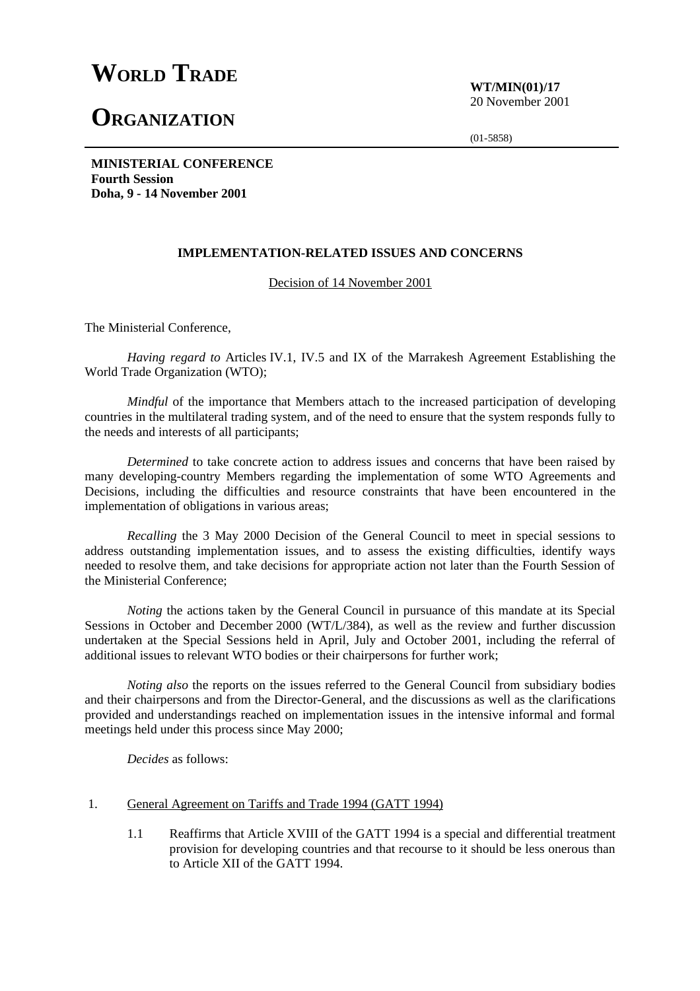# **WORLD TRADE**

# **ORGANIZATION**

**WT/MIN(01)/17** 20 November 2001

(01-5858)

**MINISTERIAL CONFERENCE Fourth Session Doha, 9 - 14 November 2001**

# **IMPLEMENTATION-RELATED ISSUES AND CONCERNS**

# Decision of 14 November 2001

The Ministerial Conference,

*Having regard to* Articles IV.1, IV.5 and IX of the Marrakesh Agreement Establishing the World Trade Organization (WTO);

*Mindful* of the importance that Members attach to the increased participation of developing countries in the multilateral trading system, and of the need to ensure that the system responds fully to the needs and interests of all participants;

*Determined* to take concrete action to address issues and concerns that have been raised by many developing-country Members regarding the implementation of some WTO Agreements and Decisions, including the difficulties and resource constraints that have been encountered in the implementation of obligations in various areas;

*Recalling* the 3 May 2000 Decision of the General Council to meet in special sessions to address outstanding implementation issues, and to assess the existing difficulties, identify ways needed to resolve them, and take decisions for appropriate action not later than the Fourth Session of the Ministerial Conference;

*Noting* the actions taken by the General Council in pursuance of this mandate at its Special Sessions in October and December 2000 (WT/L/384), as well as the review and further discussion undertaken at the Special Sessions held in April, July and October 2001, including the referral of additional issues to relevant WTO bodies or their chairpersons for further work;

*Noting also* the reports on the issues referred to the General Council from subsidiary bodies and their chairpersons and from the Director-General, and the discussions as well as the clarifications provided and understandings reached on implementation issues in the intensive informal and formal meetings held under this process since May 2000;

*Decides* as follows:

# 1. General Agreement on Tariffs and Trade 1994 (GATT 1994)

1.1 Reaffirms that Article XVIII of the GATT 1994 is a special and differential treatment provision for developing countries and that recourse to it should be less onerous than to Article XII of the GATT 1994.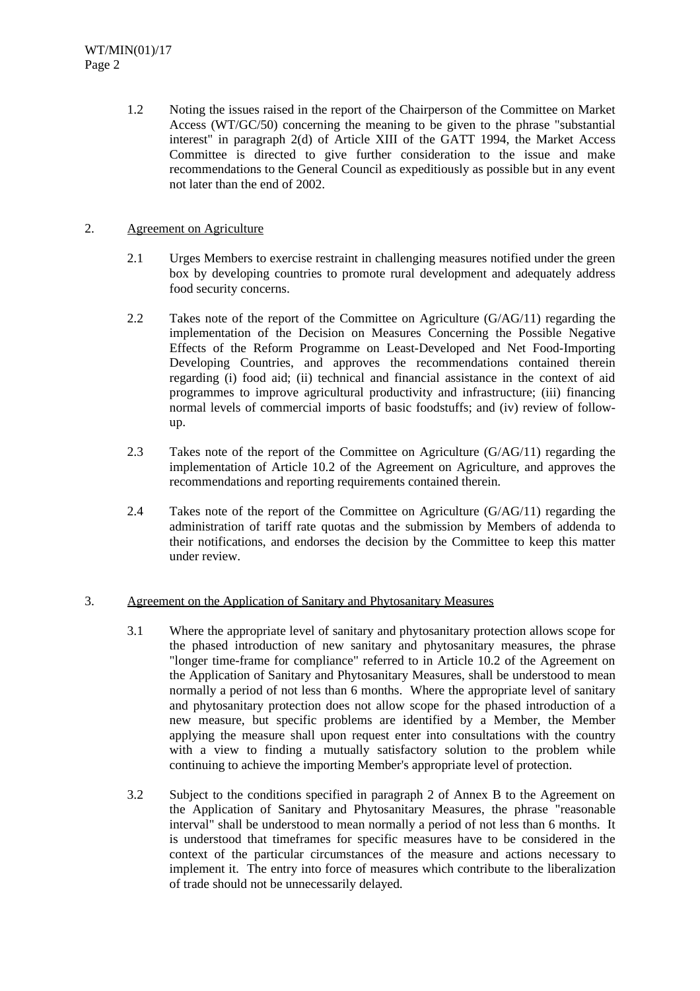1.2 Noting the issues raised in the report of the Chairperson of the Committee on Market Access (WT/GC/50) concerning the meaning to be given to the phrase "substantial interest" in paragraph 2(d) of Article XIII of the GATT 1994, the Market Access Committee is directed to give further consideration to the issue and make recommendations to the General Council as expeditiously as possible but in any event not later than the end of 2002.

# 2. Agreement on Agriculture

- 2.1 Urges Members to exercise restraint in challenging measures notified under the green box by developing countries to promote rural development and adequately address food security concerns.
- 2.2 Takes note of the report of the Committee on Agriculture (G/AG/11) regarding the implementation of the Decision on Measures Concerning the Possible Negative Effects of the Reform Programme on Least-Developed and Net Food-Importing Developing Countries, and approves the recommendations contained therein regarding (i) food aid; (ii) technical and financial assistance in the context of aid programmes to improve agricultural productivity and infrastructure; (iii) financing normal levels of commercial imports of basic foodstuffs; and (iv) review of followup.
- 2.3 Takes note of the report of the Committee on Agriculture (G/AG/11) regarding the implementation of Article 10.2 of the Agreement on Agriculture, and approves the recommendations and reporting requirements contained therein.
- 2.4 Takes note of the report of the Committee on Agriculture (G/AG/11) regarding the administration of tariff rate quotas and the submission by Members of addenda to their notifications, and endorses the decision by the Committee to keep this matter under review.

# 3. Agreement on the Application of Sanitary and Phytosanitary Measures

- 3.1 Where the appropriate level of sanitary and phytosanitary protection allows scope for the phased introduction of new sanitary and phytosanitary measures, the phrase "longer time-frame for compliance" referred to in Article 10.2 of the Agreement on the Application of Sanitary and Phytosanitary Measures, shall be understood to mean normally a period of not less than 6 months. Where the appropriate level of sanitary and phytosanitary protection does not allow scope for the phased introduction of a new measure, but specific problems are identified by a Member, the Member applying the measure shall upon request enter into consultations with the country with a view to finding a mutually satisfactory solution to the problem while continuing to achieve the importing Member's appropriate level of protection.
- 3.2 Subject to the conditions specified in paragraph 2 of Annex B to the Agreement on the Application of Sanitary and Phytosanitary Measures, the phrase "reasonable interval" shall be understood to mean normally a period of not less than 6 months. It is understood that timeframes for specific measures have to be considered in the context of the particular circumstances of the measure and actions necessary to implement it. The entry into force of measures which contribute to the liberalization of trade should not be unnecessarily delayed.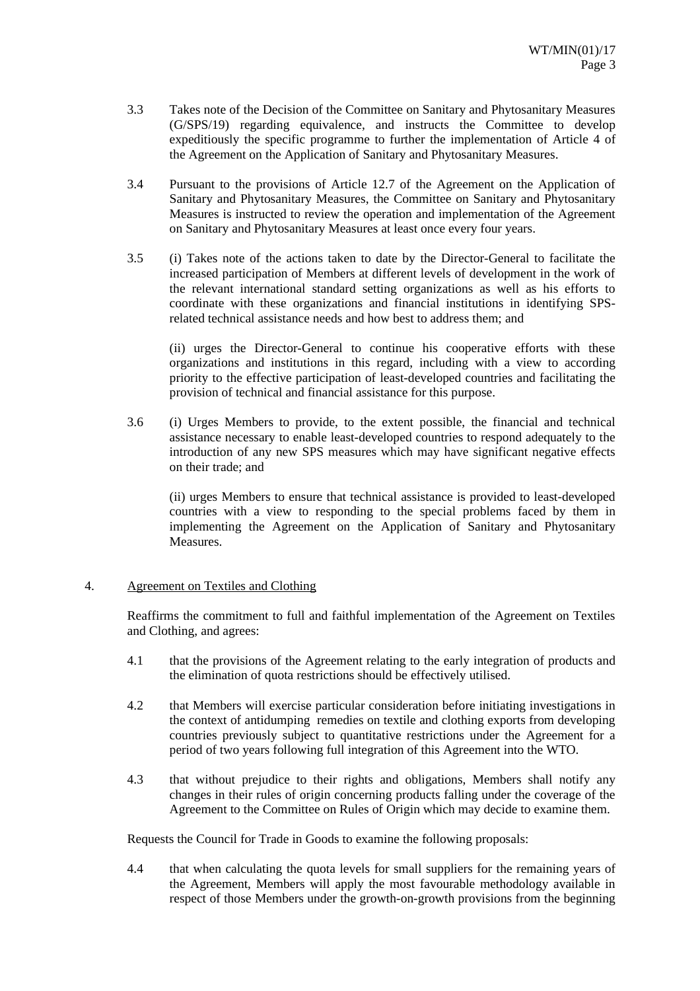- 3.3 Takes note of the Decision of the Committee on Sanitary and Phytosanitary Measures (G/SPS/19) regarding equivalence, and instructs the Committee to develop expeditiously the specific programme to further the implementation of Article 4 of the Agreement on the Application of Sanitary and Phytosanitary Measures.
- 3.4 Pursuant to the provisions of Article 12.7 of the Agreement on the Application of Sanitary and Phytosanitary Measures, the Committee on Sanitary and Phytosanitary Measures is instructed to review the operation and implementation of the Agreement on Sanitary and Phytosanitary Measures at least once every four years.
- 3.5 (i) Takes note of the actions taken to date by the Director-General to facilitate the increased participation of Members at different levels of development in the work of the relevant international standard setting organizations as well as his efforts to coordinate with these organizations and financial institutions in identifying SPSrelated technical assistance needs and how best to address them; and

(ii) urges the Director-General to continue his cooperative efforts with these organizations and institutions in this regard, including with a view to according priority to the effective participation of least-developed countries and facilitating the provision of technical and financial assistance for this purpose.

3.6 (i) Urges Members to provide, to the extent possible, the financial and technical assistance necessary to enable least-developed countries to respond adequately to the introduction of any new SPS measures which may have significant negative effects on their trade; and

(ii) urges Members to ensure that technical assistance is provided to least-developed countries with a view to responding to the special problems faced by them in implementing the Agreement on the Application of Sanitary and Phytosanitary Measures.

# 4. Agreement on Textiles and Clothing

Reaffirms the commitment to full and faithful implementation of the Agreement on Textiles and Clothing, and agrees:

- 4.1 that the provisions of the Agreement relating to the early integration of products and the elimination of quota restrictions should be effectively utilised.
- 4.2 that Members will exercise particular consideration before initiating investigations in the context of antidumping remedies on textile and clothing exports from developing countries previously subject to quantitative restrictions under the Agreement for a period of two years following full integration of this Agreement into the WTO.
- 4.3 that without prejudice to their rights and obligations, Members shall notify any changes in their rules of origin concerning products falling under the coverage of the Agreement to the Committee on Rules of Origin which may decide to examine them.

Requests the Council for Trade in Goods to examine the following proposals:

4.4 that when calculating the quota levels for small suppliers for the remaining years of the Agreement, Members will apply the most favourable methodology available in respect of those Members under the growth-on-growth provisions from the beginning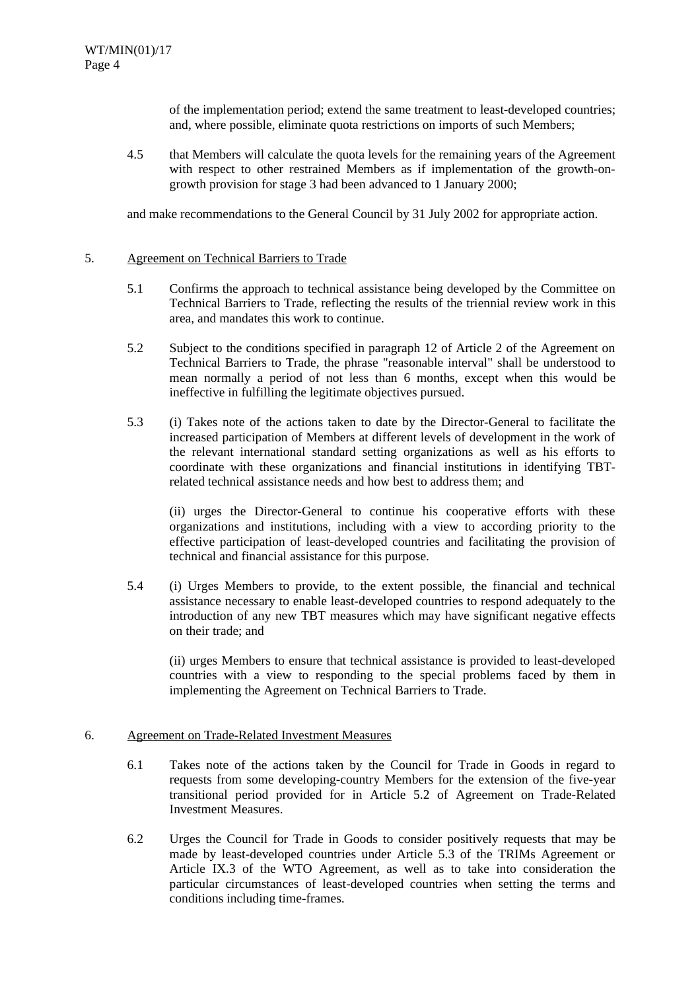of the implementation period; extend the same treatment to least-developed countries; and, where possible, eliminate quota restrictions on imports of such Members;

4.5 that Members will calculate the quota levels for the remaining years of the Agreement with respect to other restrained Members as if implementation of the growth-ongrowth provision for stage 3 had been advanced to 1 January 2000;

and make recommendations to the General Council by 31 July 2002 for appropriate action.

#### 5. Agreement on Technical Barriers to Trade

- 5.1 Confirms the approach to technical assistance being developed by the Committee on Technical Barriers to Trade, reflecting the results of the triennial review work in this area, and mandates this work to continue.
- 5.2 Subject to the conditions specified in paragraph 12 of Article 2 of the Agreement on Technical Barriers to Trade, the phrase "reasonable interval" shall be understood to mean normally a period of not less than 6 months, except when this would be ineffective in fulfilling the legitimate objectives pursued.
- 5.3 (i) Takes note of the actions taken to date by the Director-General to facilitate the increased participation of Members at different levels of development in the work of the relevant international standard setting organizations as well as his efforts to coordinate with these organizations and financial institutions in identifying TBTrelated technical assistance needs and how best to address them; and

(ii) urges the Director-General to continue his cooperative efforts with these organizations and institutions, including with a view to according priority to the effective participation of least-developed countries and facilitating the provision of technical and financial assistance for this purpose.

5.4 (i) Urges Members to provide, to the extent possible, the financial and technical assistance necessary to enable least-developed countries to respond adequately to the introduction of any new TBT measures which may have significant negative effects on their trade; and

(ii) urges Members to ensure that technical assistance is provided to least-developed countries with a view to responding to the special problems faced by them in implementing the Agreement on Technical Barriers to Trade.

# 6. Agreement on Trade-Related Investment Measures

- 6.1 Takes note of the actions taken by the Council for Trade in Goods in regard to requests from some developing-country Members for the extension of the five-year transitional period provided for in Article 5.2 of Agreement on Trade-Related Investment Measures.
- 6.2 Urges the Council for Trade in Goods to consider positively requests that may be made by least-developed countries under Article 5.3 of the TRIMs Agreement or Article IX.3 of the WTO Agreement, as well as to take into consideration the particular circumstances of least-developed countries when setting the terms and conditions including time-frames.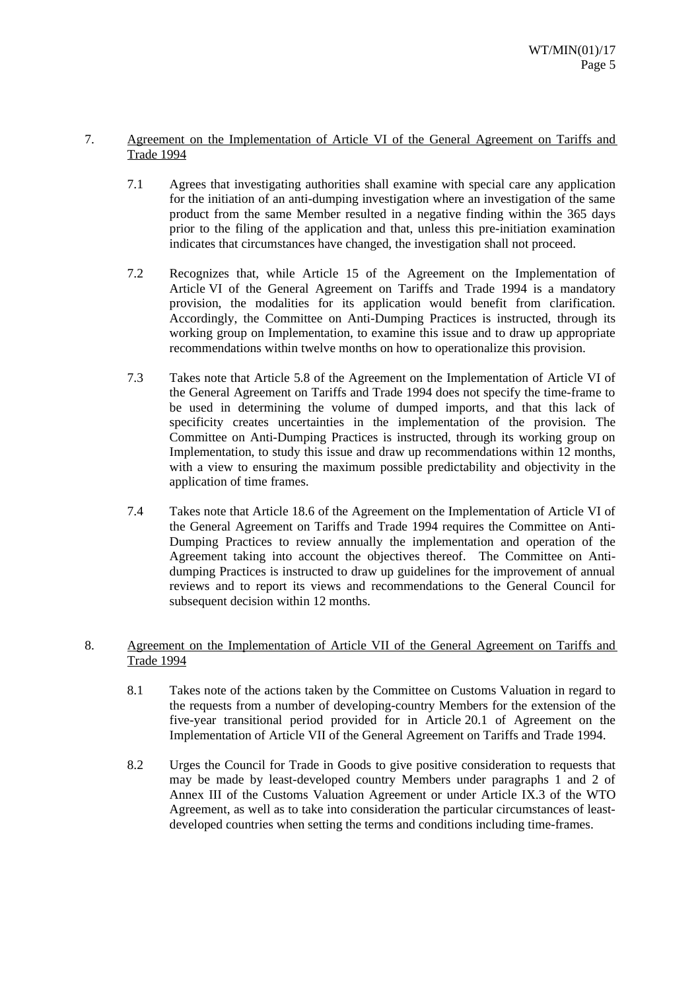# 7. Agreement on the Implementation of Article VI of the General Agreement on Tariffs and Trade 1994

- 7.1 Agrees that investigating authorities shall examine with special care any application for the initiation of an anti-dumping investigation where an investigation of the same product from the same Member resulted in a negative finding within the 365 days prior to the filing of the application and that, unless this pre-initiation examination indicates that circumstances have changed, the investigation shall not proceed.
- 7.2 Recognizes that, while Article 15 of the Agreement on the Implementation of Article VI of the General Agreement on Tariffs and Trade 1994 is a mandatory provision, the modalities for its application would benefit from clarification. Accordingly, the Committee on Anti-Dumping Practices is instructed, through its working group on Implementation, to examine this issue and to draw up appropriate recommendations within twelve months on how to operationalize this provision.
- 7.3 Takes note that Article 5.8 of the Agreement on the Implementation of Article VI of the General Agreement on Tariffs and Trade 1994 does not specify the time-frame to be used in determining the volume of dumped imports, and that this lack of specificity creates uncertainties in the implementation of the provision. The Committee on Anti-Dumping Practices is instructed, through its working group on Implementation, to study this issue and draw up recommendations within 12 months, with a view to ensuring the maximum possible predictability and objectivity in the application of time frames.
- 7.4 Takes note that Article 18.6 of the Agreement on the Implementation of Article VI of the General Agreement on Tariffs and Trade 1994 requires the Committee on Anti-Dumping Practices to review annually the implementation and operation of the Agreement taking into account the objectives thereof. The Committee on Antidumping Practices is instructed to draw up guidelines for the improvement of annual reviews and to report its views and recommendations to the General Council for subsequent decision within 12 months.

# 8. Agreement on the Implementation of Article VII of the General Agreement on Tariffs and Trade 1994

- 8.1 Takes note of the actions taken by the Committee on Customs Valuation in regard to the requests from a number of developing-country Members for the extension of the five-year transitional period provided for in Article 20.1 of Agreement on the Implementation of Article VII of the General Agreement on Tariffs and Trade 1994.
- 8.2 Urges the Council for Trade in Goods to give positive consideration to requests that may be made by least-developed country Members under paragraphs 1 and 2 of Annex III of the Customs Valuation Agreement or under Article IX.3 of the WTO Agreement, as well as to take into consideration the particular circumstances of leastdeveloped countries when setting the terms and conditions including time-frames.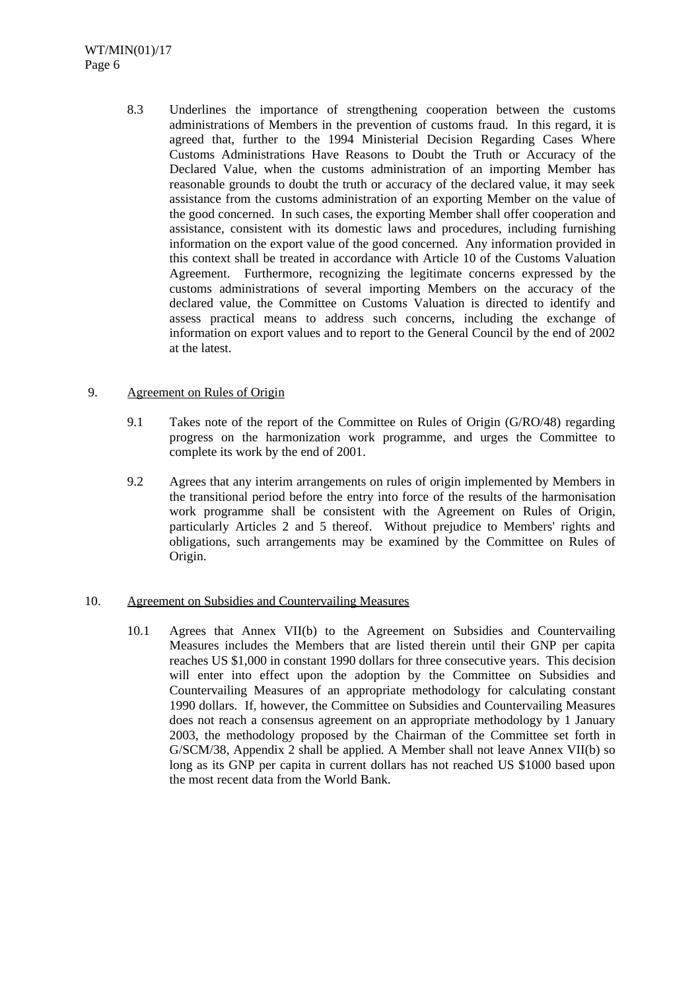8.3 Underlines the importance of strengthening cooperation between the customs administrations of Members in the prevention of customs fraud. In this regard, it is agreed that, further to the 1994 Ministerial Decision Regarding Cases Where Customs Administrations Have Reasons to Doubt the Truth or Accuracy of the Declared Value, when the customs administration of an importing Member has reasonable grounds to doubt the truth or accuracy of the declared value, it may seek assistance from the customs administration of an exporting Member on the value of the good concerned. In such cases, the exporting Member shall offer cooperation and assistance, consistent with its domestic laws and procedures, including furnishing information on the export value of the good concerned. Any information provided in this context shall be treated in accordance with Article 10 of the Customs Valuation Agreement. Furthermore, recognizing the legitimate concerns expressed by the customs administrations of several importing Members on the accuracy of the declared value, the Committee on Customs Valuation is directed to identify and assess practical means to address such concerns, including the exchange of information on export values and to report to the General Council by the end of 2002 at the latest.

# 9. Agreement on Rules of Origin

- 9.1 Takes note of the report of the Committee on Rules of Origin (G/RO/48) regarding progress on the harmonization work programme, and urges the Committee to complete its work by the end of 2001.
- 9.2 Agrees that any interim arrangements on rules of origin implemented by Members in the transitional period before the entry into force of the results of the harmonisation work programme shall be consistent with the Agreement on Rules of Origin, particularly Articles 2 and 5 thereof. Without prejudice to Members' rights and obligations, such arrangements may be examined by the Committee on Rules of Origin.

# 10. Agreement on Subsidies and Countervailing Measures

10.1 Agrees that Annex VII(b) to the Agreement on Subsidies and Countervailing Measures includes the Members that are listed therein until their GNP per capita reaches US \$1,000 in constant 1990 dollars for three consecutive years. This decision will enter into effect upon the adoption by the Committee on Subsidies and Countervailing Measures of an appropriate methodology for calculating constant 1990 dollars. If, however, the Committee on Subsidies and Countervailing Measures does not reach a consensus agreement on an appropriate methodology by 1 January 2003, the methodology proposed by the Chairman of the Committee set forth in G/SCM/38, Appendix 2 shall be applied. A Member shall not leave Annex VII(b) so long as its GNP per capita in current dollars has not reached US \$1000 based upon the most recent data from the World Bank.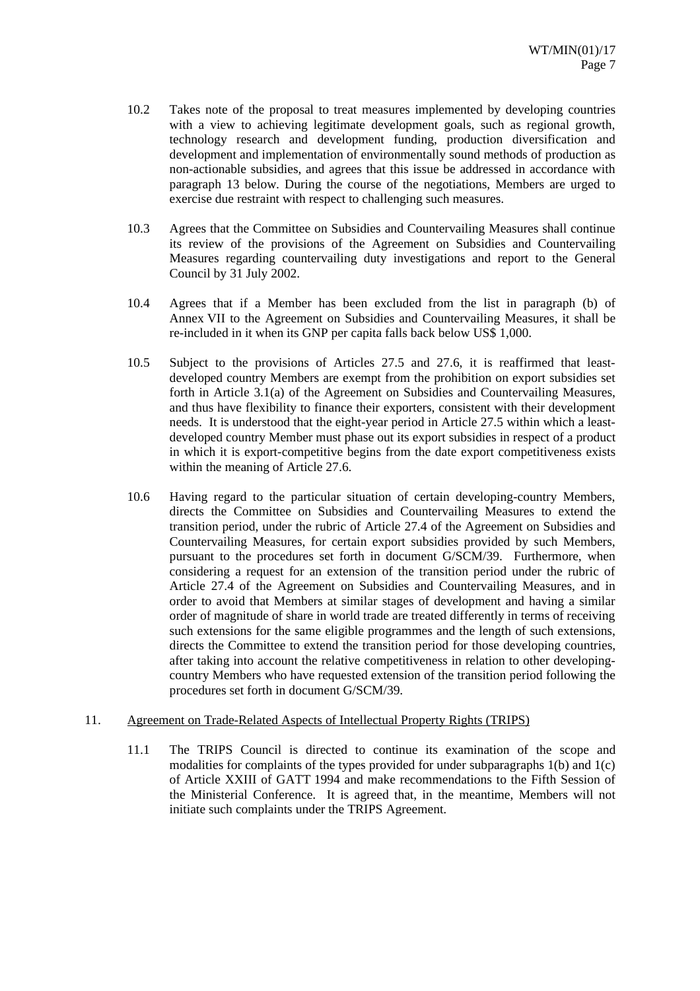- 10.2 Takes note of the proposal to treat measures implemented by developing countries with a view to achieving legitimate development goals, such as regional growth, technology research and development funding, production diversification and development and implementation of environmentally sound methods of production as non-actionable subsidies, and agrees that this issue be addressed in accordance with paragraph 13 below. During the course of the negotiations, Members are urged to exercise due restraint with respect to challenging such measures.
- 10.3 Agrees that the Committee on Subsidies and Countervailing Measures shall continue its review of the provisions of the Agreement on Subsidies and Countervailing Measures regarding countervailing duty investigations and report to the General Council by 31 July 2002.
- 10.4 Agrees that if a Member has been excluded from the list in paragraph (b) of Annex VII to the Agreement on Subsidies and Countervailing Measures, it shall be re-included in it when its GNP per capita falls back below US\$ 1,000.
- 10.5 Subject to the provisions of Articles 27.5 and 27.6, it is reaffirmed that leastdeveloped country Members are exempt from the prohibition on export subsidies set forth in Article 3.1(a) of the Agreement on Subsidies and Countervailing Measures, and thus have flexibility to finance their exporters, consistent with their development needs. It is understood that the eight-year period in Article 27.5 within which a leastdeveloped country Member must phase out its export subsidies in respect of a product in which it is export-competitive begins from the date export competitiveness exists within the meaning of Article 27.6.
- 10.6 Having regard to the particular situation of certain developing-country Members, directs the Committee on Subsidies and Countervailing Measures to extend the transition period, under the rubric of Article 27.4 of the Agreement on Subsidies and Countervailing Measures, for certain export subsidies provided by such Members, pursuant to the procedures set forth in document G/SCM/39. Furthermore, when considering a request for an extension of the transition period under the rubric of Article 27.4 of the Agreement on Subsidies and Countervailing Measures, and in order to avoid that Members at similar stages of development and having a similar order of magnitude of share in world trade are treated differently in terms of receiving such extensions for the same eligible programmes and the length of such extensions, directs the Committee to extend the transition period for those developing countries, after taking into account the relative competitiveness in relation to other developingcountry Members who have requested extension of the transition period following the procedures set forth in document G/SCM/39.

# 11. Agreement on Trade-Related Aspects of Intellectual Property Rights (TRIPS)

11.1 The TRIPS Council is directed to continue its examination of the scope and modalities for complaints of the types provided for under subparagraphs 1(b) and 1(c) of Article XXIII of GATT 1994 and make recommendations to the Fifth Session of the Ministerial Conference. It is agreed that, in the meantime, Members will not initiate such complaints under the TRIPS Agreement.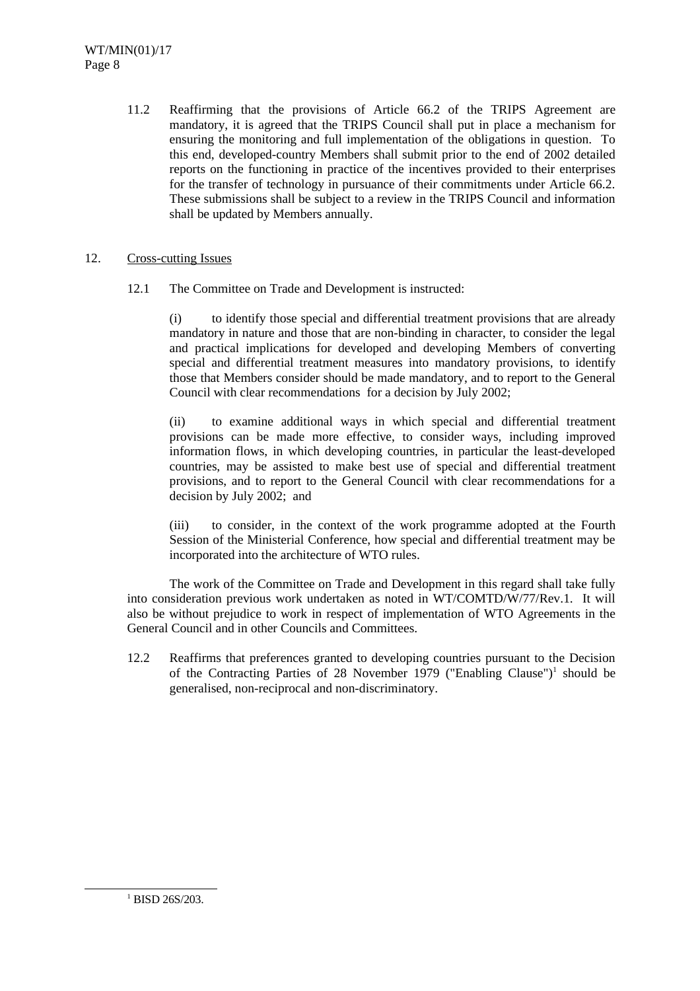11.2 Reaffirming that the provisions of Article 66.2 of the TRIPS Agreement are mandatory, it is agreed that the TRIPS Council shall put in place a mechanism for ensuring the monitoring and full implementation of the obligations in question. To this end, developed-country Members shall submit prior to the end of 2002 detailed reports on the functioning in practice of the incentives provided to their enterprises for the transfer of technology in pursuance of their commitments under Article 66.2. These submissions shall be subject to a review in the TRIPS Council and information shall be updated by Members annually.

# 12. Cross-cutting Issues

12.1 The Committee on Trade and Development is instructed:

(i) to identify those special and differential treatment provisions that are already mandatory in nature and those that are non-binding in character, to consider the legal and practical implications for developed and developing Members of converting special and differential treatment measures into mandatory provisions, to identify those that Members consider should be made mandatory, and to report to the General Council with clear recommendations for a decision by July 2002;

(ii) to examine additional ways in which special and differential treatment provisions can be made more effective, to consider ways, including improved information flows, in which developing countries, in particular the least-developed countries, may be assisted to make best use of special and differential treatment provisions, and to report to the General Council with clear recommendations for a decision by July 2002; and

(iii) to consider, in the context of the work programme adopted at the Fourth Session of the Ministerial Conference, how special and differential treatment may be incorporated into the architecture of WTO rules.

The work of the Committee on Trade and Development in this regard shall take fully into consideration previous work undertaken as noted in WT/COMTD/W/77/Rev.1. It will also be without prejudice to work in respect of implementation of WTO Agreements in the General Council and in other Councils and Committees.

12.2 Reaffirms that preferences granted to developing countries pursuant to the Decision of the Contracting Parties of 28 November [1](#page-7-0)979 ("Enabling Clause")<sup>1</sup> should be generalised, non-reciprocal and non-discriminatory.

<span id="page-7-0"></span><sup>1</sup> BISD 26S/203.